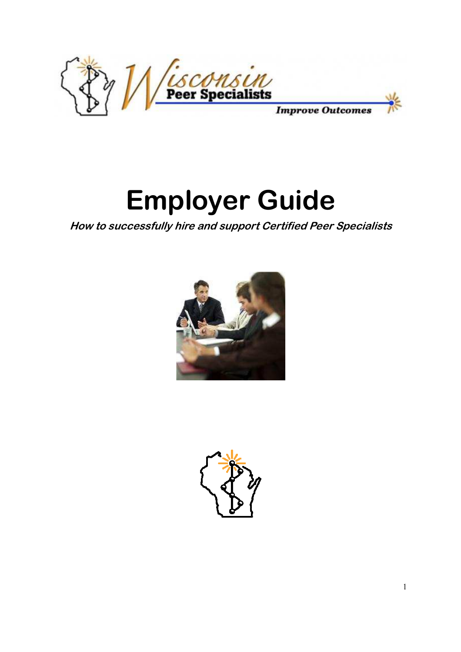

# **Employer Guide**

**How to successfully hire and support Certified Peer Specialists** 



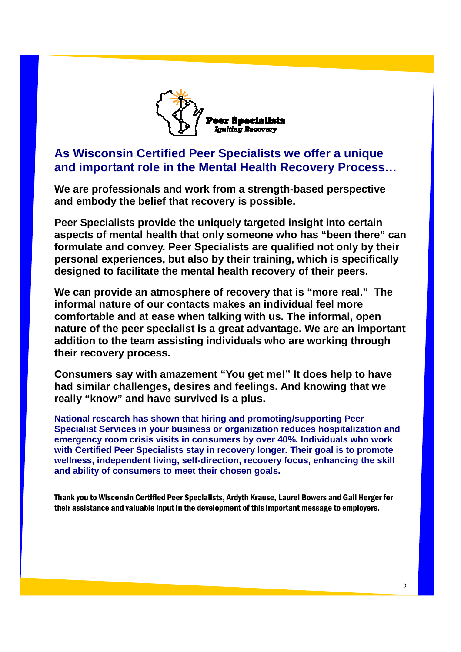

# **As Wisconsin Certified Peer Specialists we offer a unique and important role in the Mental Health Recovery Process…**

**We are professionals and work from a strength-based perspective and embody the belief that recovery is possible.** 

**Peer Specialists provide the uniquely targeted insight into certain aspects of mental health that only someone who has "been there" can formulate and convey. Peer Specialists are qualified not only by their personal experiences, but also by their training, which is specifically designed to facilitate the mental health recovery of their peers.** 

**We can provide an atmosphere of recovery that is "more real." The informal nature of our contacts makes an individual feel more comfortable and at ease when talking with us. The informal, open nature of the peer specialist is a great advantage. We are an important addition to the team assisting individuals who are working through their recovery process.** 

**Consumers say with amazement "You get me!" It does help to have had similar challenges, desires and feelings. And knowing that we really "know" and have survived is a plus.** 

**National research has shown that hiring and promoting/supporting Peer Specialist Services in your business or organization reduces hospitalization and emergency room crisis visits in consumers by over 40%. Individuals who work with Certified Peer Specialists stay in recovery longer. Their goal is to promote wellness, independent living, self-direction, recovery focus, enhancing the skill and ability of consumers to meet their chosen goals.** 

Thank you to Wisconsin Certified Peer Specialists, Ardyth Krause, Laurel Bowers and Gail Herger for their assistance and valuable input in the development of this important message to employers.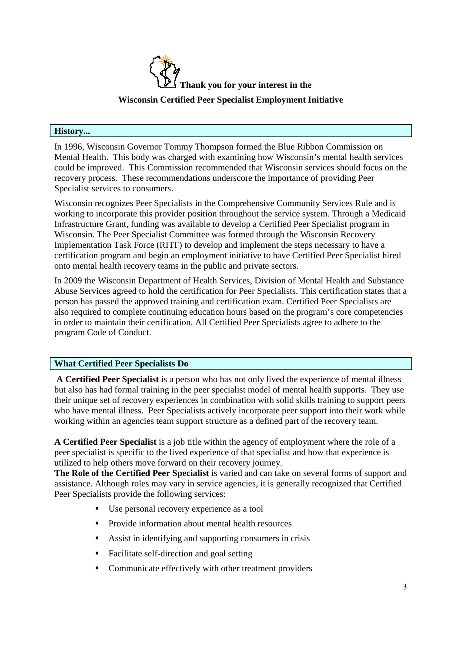

#### **History...**

In 1996, Wisconsin Governor Tommy Thompson formed the Blue Ribbon Commission on Mental Health. This body was charged with examining how Wisconsin's mental health services could be improved. This Commission recommended that Wisconsin services should focus on the recovery process. These recommendations underscore the importance of providing Peer Specialist services to consumers.

Wisconsin recognizes Peer Specialists in the Comprehensive Community Services Rule and is working to incorporate this provider position throughout the service system. Through a Medicaid Infrastructure Grant, funding was available to develop a Certified Peer Specialist program in Wisconsin. The Peer Specialist Committee was formed through the Wisconsin Recovery Implementation Task Force (RITF) to develop and implement the steps necessary to have a certification program and begin an employment initiative to have Certified Peer Specialist hired onto mental health recovery teams in the public and private sectors.

In 2009 the Wisconsin Department of Health Services, Division of Mental Health and Substance Abuse Services agreed to hold the certification for Peer Specialists. This certification states that a person has passed the approved training and certification exam. Certified Peer Specialists are also required to complete continuing education hours based on the program's core competencies in order to maintain their certification. All Certified Peer Specialists agree to adhere to the program Code of Conduct.

# **What Certified Peer Specialists Do**

 **A Certified Peer Specialist** is a person who has not only lived the experience of mental illness but also has had formal training in the peer specialist model of mental health supports. They use their unique set of recovery experiences in combination with solid skills training to support peers who have mental illness. Peer Specialists actively incorporate peer support into their work while working within an agencies team support structure as a defined part of the recovery team.

**A Certified Peer Specialist** is a job title within the agency of employment where the role of a peer specialist is specific to the lived experience of that specialist and how that experience is utilized to help others move forward on their recovery journey.

**The Role of the Certified Peer Specialist** is varied and can take on several forms of support and assistance. Although roles may vary in service agencies, it is generally recognized that Certified Peer Specialists provide the following services:

- Use personal recovery experience as a tool
- **Provide information about mental health resources**
- Assist in identifying and supporting consumers in crisis
- Facilitate self-direction and goal setting
- Communicate effectively with other treatment providers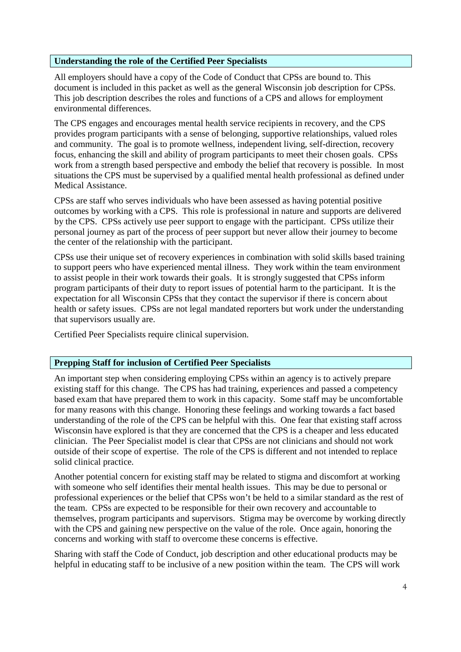### **Understanding the role of the Certified Peer Specialists**

All employers should have a copy of the Code of Conduct that CPSs are bound to. This document is included in this packet as well as the general Wisconsin job description for CPSs. This job description describes the roles and functions of a CPS and allows for employment environmental differences.

The CPS engages and encourages mental health service recipients in recovery, and the CPS provides program participants with a sense of belonging, supportive relationships, valued roles and community. The goal is to promote wellness, independent living, self-direction, recovery focus, enhancing the skill and ability of program participants to meet their chosen goals. CPSs work from a strength based perspective and embody the belief that recovery is possible. In most situations the CPS must be supervised by a qualified mental health professional as defined under Medical Assistance.

CPSs are staff who serves individuals who have been assessed as having potential positive outcomes by working with a CPS. This role is professional in nature and supports are delivered by the CPS. CPSs actively use peer support to engage with the participant. CPSs utilize their personal journey as part of the process of peer support but never allow their journey to become the center of the relationship with the participant.

CPSs use their unique set of recovery experiences in combination with solid skills based training to support peers who have experienced mental illness. They work within the team environment to assist people in their work towards their goals. It is strongly suggested that CPSs inform program participants of their duty to report issues of potential harm to the participant. It is the expectation for all Wisconsin CPSs that they contact the supervisor if there is concern about health or safety issues. CPSs are not legal mandated reporters but work under the understanding that supervisors usually are.

Certified Peer Specialists require clinical supervision.

# **Prepping Staff for inclusion of Certified Peer Specialists**

An important step when considering employing CPSs within an agency is to actively prepare existing staff for this change. The CPS has had training, experiences and passed a competency based exam that have prepared them to work in this capacity. Some staff may be uncomfortable for many reasons with this change. Honoring these feelings and working towards a fact based understanding of the role of the CPS can be helpful with this. One fear that existing staff across Wisconsin have explored is that they are concerned that the CPS is a cheaper and less educated clinician. The Peer Specialist model is clear that CPSs are not clinicians and should not work outside of their scope of expertise. The role of the CPS is different and not intended to replace solid clinical practice.

Another potential concern for existing staff may be related to stigma and discomfort at working with someone who self identifies their mental health issues. This may be due to personal or professional experiences or the belief that CPSs won't be held to a similar standard as the rest of the team. CPSs are expected to be responsible for their own recovery and accountable to themselves, program participants and supervisors. Stigma may be overcome by working directly with the CPS and gaining new perspective on the value of the role. Once again, honoring the concerns and working with staff to overcome these concerns is effective.

Sharing with staff the Code of Conduct, job description and other educational products may be helpful in educating staff to be inclusive of a new position within the team. The CPS will work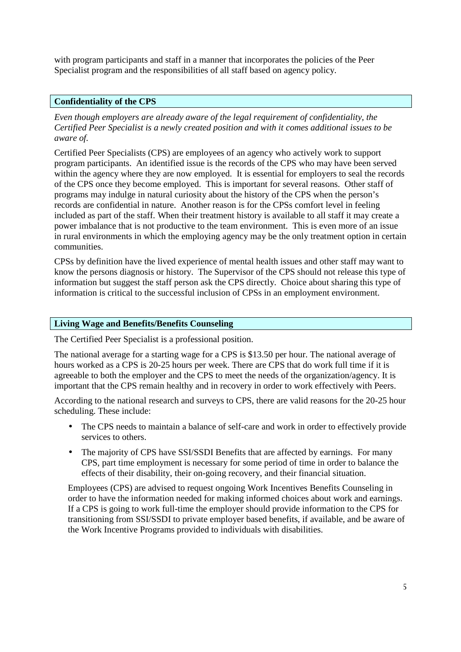with program participants and staff in a manner that incorporates the policies of the Peer Specialist program and the responsibilities of all staff based on agency policy.

### **Confidentiality of the CPS**

*Even though employers are already aware of the legal requirement of confidentiality, the Certified Peer Specialist is a newly created position and with it comes additional issues to be aware of.* 

Certified Peer Specialists (CPS) are employees of an agency who actively work to support program participants. An identified issue is the records of the CPS who may have been served within the agency where they are now employed. It is essential for employers to seal the records of the CPS once they become employed. This is important for several reasons. Other staff of programs may indulge in natural curiosity about the history of the CPS when the person's records are confidential in nature. Another reason is for the CPSs comfort level in feeling included as part of the staff. When their treatment history is available to all staff it may create a power imbalance that is not productive to the team environment. This is even more of an issue in rural environments in which the employing agency may be the only treatment option in certain communities.

CPSs by definition have the lived experience of mental health issues and other staff may want to know the persons diagnosis or history. The Supervisor of the CPS should not release this type of information but suggest the staff person ask the CPS directly. Choice about sharing this type of information is critical to the successful inclusion of CPSs in an employment environment.

#### **Living Wage and Benefits/Benefits Counseling**

The Certified Peer Specialist is a professional position.

The national average for a starting wage for a CPS is \$13.50 per hour. The national average of hours worked as a CPS is 20-25 hours per week. There are CPS that do work full time if it is agreeable to both the employer and the CPS to meet the needs of the organization/agency. It is important that the CPS remain healthy and in recovery in order to work effectively with Peers.

According to the national research and surveys to CPS, there are valid reasons for the 20-25 hour scheduling. These include:

- The CPS needs to maintain a balance of self-care and work in order to effectively provide services to others.
- The majority of CPS have SSI/SSDI Benefits that are affected by earnings. For many CPS, part time employment is necessary for some period of time in order to balance the effects of their disability, their on-going recovery, and their financial situation.

Employees (CPS) are advised to request ongoing Work Incentives Benefits Counseling in order to have the information needed for making informed choices about work and earnings. If a CPS is going to work full-time the employer should provide information to the CPS for transitioning from SSI/SSDI to private employer based benefits, if available, and be aware of the Work Incentive Programs provided to individuals with disabilities.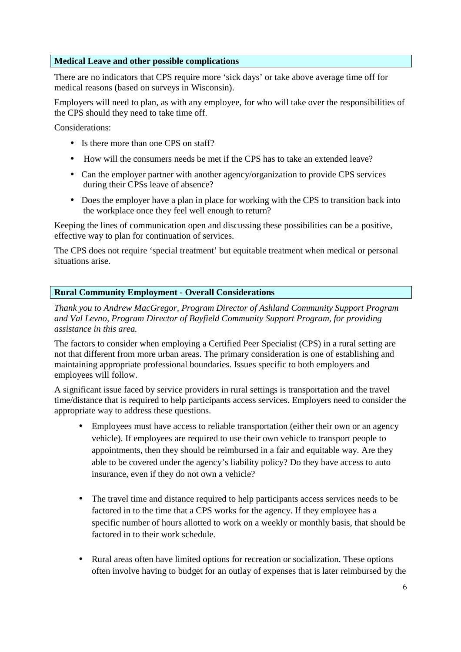### **Medical Leave and other possible complications**

There are no indicators that CPS require more 'sick days' or take above average time off for medical reasons (based on surveys in Wisconsin).

Employers will need to plan, as with any employee, for who will take over the responsibilities of the CPS should they need to take time off.

Considerations:

- Is there more than one CPS on staff?
- How will the consumers needs be met if the CPS has to take an extended leave?
- Can the employer partner with another agency/organization to provide CPS services during their CPSs leave of absence?
- Does the employer have a plan in place for working with the CPS to transition back into the workplace once they feel well enough to return?

Keeping the lines of communication open and discussing these possibilities can be a positive, effective way to plan for continuation of services.

The CPS does not require 'special treatment' but equitable treatment when medical or personal situations arise.

# **Rural Community Employment - Overall Considerations**

*Thank you to Andrew MacGregor, Program Director of Ashland Community Support Program and Val Levno, Program Director of Bayfield Community Support Program, for providing assistance in this area.* 

The factors to consider when employing a Certified Peer Specialist (CPS) in a rural setting are not that different from more urban areas. The primary consideration is one of establishing and maintaining appropriate professional boundaries. Issues specific to both employers and employees will follow.

A significant issue faced by service providers in rural settings is transportation and the travel time/distance that is required to help participants access services. Employers need to consider the appropriate way to address these questions.

- Employees must have access to reliable transportation (either their own or an agency vehicle). If employees are required to use their own vehicle to transport people to appointments, then they should be reimbursed in a fair and equitable way. Are they able to be covered under the agency's liability policy? Do they have access to auto insurance, even if they do not own a vehicle?
- The travel time and distance required to help participants access services needs to be factored in to the time that a CPS works for the agency. If they employee has a specific number of hours allotted to work on a weekly or monthly basis, that should be factored in to their work schedule.
- Rural areas often have limited options for recreation or socialization. These options often involve having to budget for an outlay of expenses that is later reimbursed by the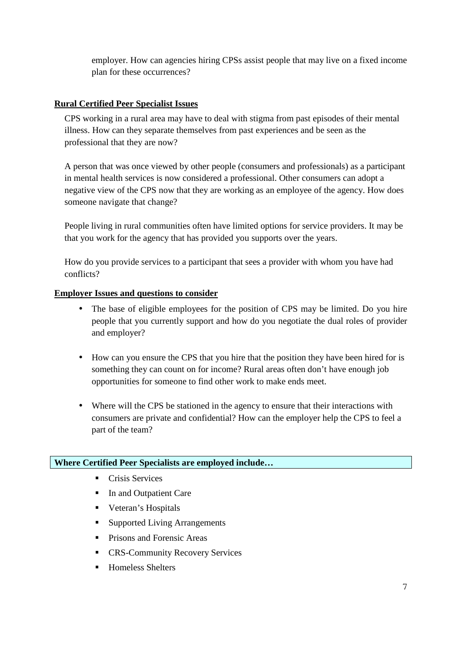employer. How can agencies hiring CPSs assist people that may live on a fixed income plan for these occurrences?

# **Rural Certified Peer Specialist Issues**

CPS working in a rural area may have to deal with stigma from past episodes of their mental illness. How can they separate themselves from past experiences and be seen as the professional that they are now?

A person that was once viewed by other people (consumers and professionals) as a participant in mental health services is now considered a professional. Other consumers can adopt a negative view of the CPS now that they are working as an employee of the agency. How does someone navigate that change?

People living in rural communities often have limited options for service providers. It may be that you work for the agency that has provided you supports over the years.

How do you provide services to a participant that sees a provider with whom you have had conflicts?

# **Employer Issues and questions to consider**

- The base of eligible employees for the position of CPS may be limited. Do you hire people that you currently support and how do you negotiate the dual roles of provider and employer?
- How can you ensure the CPS that you hire that the position they have been hired for is something they can count on for income? Rural areas often don't have enough job opportunities for someone to find other work to make ends meet.
- Where will the CPS be stationed in the agency to ensure that their interactions with consumers are private and confidential? How can the employer help the CPS to feel a part of the team?

# **Where Certified Peer Specialists are employed include…**

- **Crisis Services**
- In and Outpatient Care
- **•** Veteran's Hospitals
- Supported Living Arrangements
- **Prisons and Forensic Areas**
- **EXECOMMUNITY Recovery Services**
- Homeless Shelters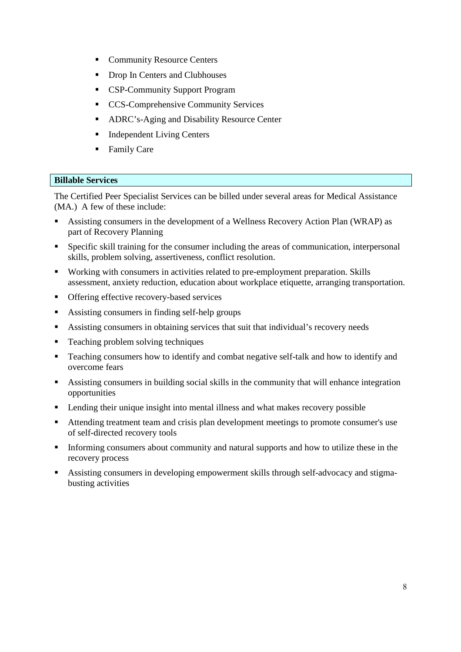- **Community Resource Centers**
- Drop In Centers and Clubhouses
- **CSP-Community Support Program**
- CCS-Comprehensive Community Services
- **ADRC's-Aging and Disability Resource Center**
- **Independent Living Centers**
- Family Care

# **Billable Services**

The Certified Peer Specialist Services can be billed under several areas for Medical Assistance (MA.) A few of these include:

- Assisting consumers in the development of a Wellness Recovery Action Plan (WRAP) as part of Recovery Planning
- Specific skill training for the consumer including the areas of communication, interpersonal skills, problem solving, assertiveness, conflict resolution.
- Working with consumers in activities related to pre-employment preparation. Skills assessment, anxiety reduction, education about workplace etiquette, arranging transportation.
- **•** Offering effective recovery-based services
- Assisting consumers in finding self-help groups
- Assisting consumers in obtaining services that suit that individual's recovery needs
- Teaching problem solving techniques
- Teaching consumers how to identify and combat negative self-talk and how to identify and overcome fears
- Assisting consumers in building social skills in the community that will enhance integration opportunities
- **EXECUTE:** Lending their unique insight into mental illness and what makes recovery possible
- Attending treatment team and crisis plan development meetings to promote consumer's use of self-directed recovery tools
- Informing consumers about community and natural supports and how to utilize these in the recovery process
- Assisting consumers in developing empowerment skills through self-advocacy and stigmabusting activities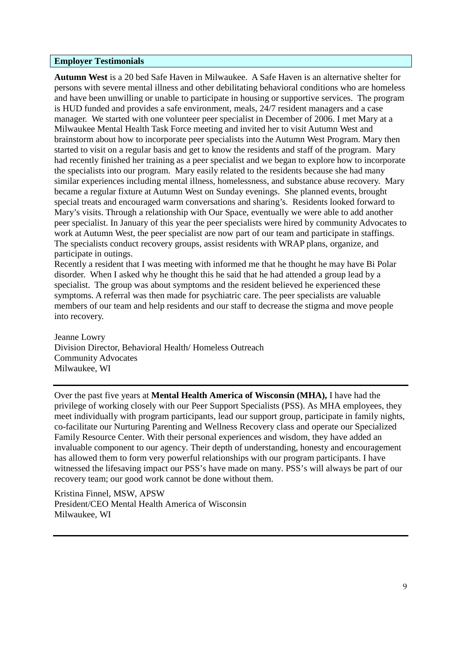#### **Employer Testimonials**

**Autumn West** is a 20 bed Safe Haven in Milwaukee. A Safe Haven is an alternative shelter for persons with severe mental illness and other debilitating behavioral conditions who are homeless and have been unwilling or unable to participate in housing or supportive services. The program is HUD funded and provides a safe environment, meals, 24/7 resident managers and a case manager. We started with one volunteer peer specialist in December of 2006. I met Mary at a Milwaukee Mental Health Task Force meeting and invited her to visit Autumn West and brainstorm about how to incorporate peer specialists into the Autumn West Program. Mary then started to visit on a regular basis and get to know the residents and staff of the program. Mary had recently finished her training as a peer specialist and we began to explore how to incorporate the specialists into our program. Mary easily related to the residents because she had many similar experiences including mental illness, homelessness, and substance abuse recovery. Mary became a regular fixture at Autumn West on Sunday evenings. She planned events, brought special treats and encouraged warm conversations and sharing's. Residents looked forward to Mary's visits. Through a relationship with Our Space, eventually we were able to add another peer specialist. In January of this year the peer specialists were hired by community Advocates to work at Autumn West, the peer specialist are now part of our team and participate in staffings. The specialists conduct recovery groups, assist residents with WRAP plans, organize, and participate in outings.

Recently a resident that I was meeting with informed me that he thought he may have Bi Polar disorder. When I asked why he thought this he said that he had attended a group lead by a specialist. The group was about symptoms and the resident believed he experienced these symptoms. A referral was then made for psychiatric care. The peer specialists are valuable members of our team and help residents and our staff to decrease the stigma and move people into recovery.

Jeanne Lowry Division Director, Behavioral Health/ Homeless Outreach Community Advocates Milwaukee, WI

Over the past five years at **Mental Health America of Wisconsin (MHA),** I have had the privilege of working closely with our Peer Support Specialists (PSS). As MHA employees, they meet individually with program participants, lead our support group, participate in family nights, co-facilitate our Nurturing Parenting and Wellness Recovery class and operate our Specialized Family Resource Center. With their personal experiences and wisdom, they have added an invaluable component to our agency. Their depth of understanding, honesty and encouragement has allowed them to form very powerful relationships with our program participants. I have witnessed the lifesaving impact our PSS's have made on many. PSS's will always be part of our recovery team; our good work cannot be done without them.

Kristina Finnel, MSW, APSW President/CEO Mental Health America of Wisconsin Milwaukee, WI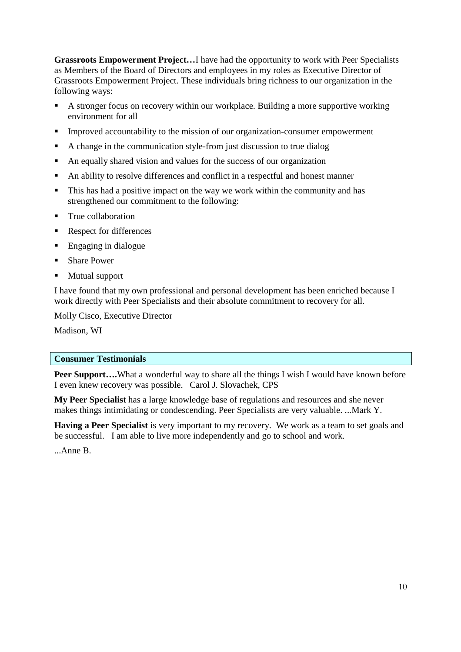**Grassroots Empowerment Project…**I have had the opportunity to work with Peer Specialists as Members of the Board of Directors and employees in my roles as Executive Director of Grassroots Empowerment Project. These individuals bring richness to our organization in the following ways:

- A stronger focus on recovery within our workplace. Building a more supportive working environment for all
- Improved accountability to the mission of our organization-consumer empowerment
- A change in the communication style-from just discussion to true dialog
- An equally shared vision and values for the success of our organization
- An ability to resolve differences and conflict in a respectful and honest manner
- This has had a positive impact on the way we work within the community and has strengthened our commitment to the following:
- **True collaboration**
- Respect for differences
- Engaging in dialogue
- **Share Power**
- Mutual support

I have found that my own professional and personal development has been enriched because I work directly with Peer Specialists and their absolute commitment to recovery for all.

Molly Cisco, Executive Director

Madison, WI

#### **Consumer Testimonials**

**Peer Support....**What a wonderful way to share all the things I wish I would have known before I even knew recovery was possible. Carol J. Slovachek, CPS

**My Peer Specialist** has a large knowledge base of regulations and resources and she never makes things intimidating or condescending. Peer Specialists are very valuable. ...Mark Y.

**Having a Peer Specialist** is very important to my recovery. We work as a team to set goals and be successful. I am able to live more independently and go to school and work.

...Anne B.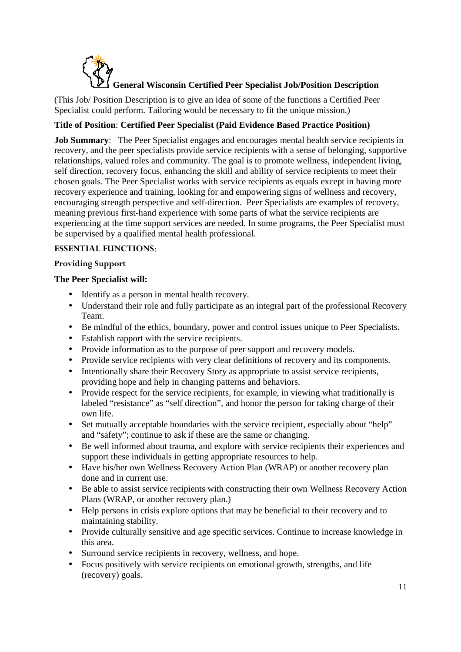

(This Job/ Position Description is to give an idea of some of the functions a Certified Peer Specialist could perform. Tailoring would be necessary to fit the unique mission.)

# **Title of Position**: **Certified Peer Specialist (Paid Evidence Based Practice Position)**

**Job Summary:** The Peer Specialist engages and encourages mental health service recipients in recovery, and the peer specialists provide service recipients with a sense of belonging, supportive relationships, valued roles and community. The goal is to promote wellness, independent living, self direction, recovery focus, enhancing the skill and ability of service recipients to meet their chosen goals. The Peer Specialist works with service recipients as equals except in having more recovery experience and training, looking for and empowering signs of wellness and recovery, encouraging strength perspective and self-direction. Peer Specialists are examples of recovery, meaning previous first-hand experience with some parts of what the service recipients are experiencing at the time support services are needed. In some programs, the Peer Specialist must be supervised by a qualified mental health professional.

# **ESSENTIAL FUNCTIONS**:

# **Providing Support**

# **The Peer Specialist will:**

- Identify as a person in mental health recovery.
- Understand their role and fully participate as an integral part of the professional Recovery Team.
- Be mindful of the ethics, boundary, power and control issues unique to Peer Specialists.
- Establish rapport with the service recipients.
- Provide information as to the purpose of peer support and recovery models.
- Provide service recipients with very clear definitions of recovery and its components.
- Intentionally share their Recovery Story as appropriate to assist service recipients, providing hope and help in changing patterns and behaviors.
- Provide respect for the service recipients, for example, in viewing what traditionally is labeled "resistance" as "self direction", and honor the person for taking charge of their own life.
- Set mutually acceptable boundaries with the service recipient, especially about "help" and "safety"; continue to ask if these are the same or changing.
- Be well informed about trauma, and explore with service recipients their experiences and support these individuals in getting appropriate resources to help.
- Have his/her own Wellness Recovery Action Plan (WRAP) or another recovery plan done and in current use.
- Be able to assist service recipients with constructing their own Wellness Recovery Action Plans (WRAP, or another recovery plan.)
- Help persons in crisis explore options that may be beneficial to their recovery and to maintaining stability.
- Provide culturally sensitive and age specific services. Continue to increase knowledge in this area.
- Surround service recipients in recovery, wellness, and hope.
- Focus positively with service recipients on emotional growth, strengths, and life (recovery) goals.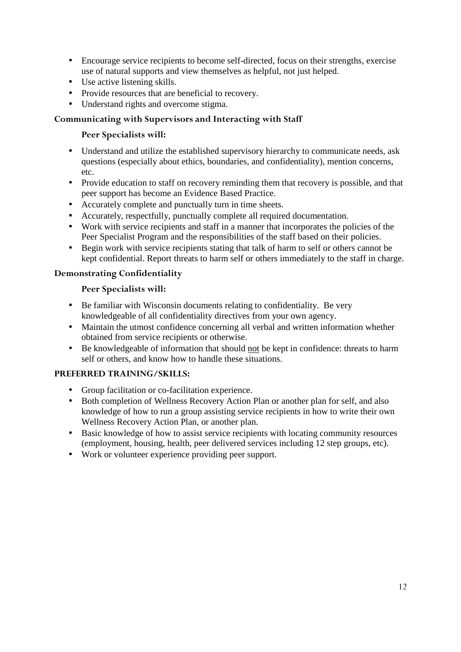- Encourage service recipients to become self-directed, focus on their strengths, exercise use of natural supports and view themselves as helpful, not just helped.
- Use active listening skills.
- Provide resources that are beneficial to recovery.
- Understand rights and overcome stigma.

# **Communicating with Supervisors and Interacting with Staff**

# **Peer Specialists will:**

- Understand and utilize the established supervisory hierarchy to communicate needs, ask questions (especially about ethics, boundaries, and confidentiality), mention concerns, etc.
- Provide education to staff on recovery reminding them that recovery is possible, and that peer support has become an Evidence Based Practice.
- Accurately complete and punctually turn in time sheets.
- Accurately, respectfully, punctually complete all required documentation.
- Work with service recipients and staff in a manner that incorporates the policies of the Peer Specialist Program and the responsibilities of the staff based on their policies.
- Begin work with service recipients stating that talk of harm to self or others cannot be kept confidential. Report threats to harm self or others immediately to the staff in charge.

# **Demonstrating Confidentiality**

# **Peer Specialists will:**

- Be familiar with Wisconsin documents relating to confidentiality. Be very knowledgeable of all confidentiality directives from your own agency.
- Maintain the utmost confidence concerning all verbal and written information whether obtained from service recipients or otherwise.
- Be knowledgeable of information that should not be kept in confidence: threats to harm self or others, and know how to handle these situations.

# **PREFERRED TRAINING/SKILLS:**

- Group facilitation or co-facilitation experience.
- Both completion of Wellness Recovery Action Plan or another plan for self, and also knowledge of how to run a group assisting service recipients in how to write their own Wellness Recovery Action Plan, or another plan.
- Basic knowledge of how to assist service recipients with locating community resources (employment, housing, health, peer delivered services including 12 step groups, etc).
- Work or volunteer experience providing peer support.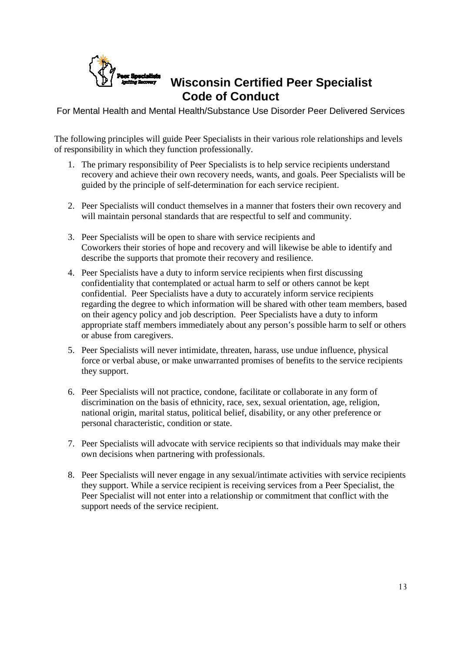

# **Wisconsin Certified Peer Specialist Code of Conduct**

For Mental Health and Mental Health/Substance Use Disorder Peer Delivered Services

The following principles will guide Peer Specialists in their various role relationships and levels of responsibility in which they function professionally.

- 1. The primary responsibility of Peer Specialists is to help service recipients understand recovery and achieve their own recovery needs, wants, and goals. Peer Specialists will be guided by the principle of self-determination for each service recipient.
- 2. Peer Specialists will conduct themselves in a manner that fosters their own recovery and will maintain personal standards that are respectful to self and community.
- 3. Peer Specialists will be open to share with service recipients and Coworkers their stories of hope and recovery and will likewise be able to identify and describe the supports that promote their recovery and resilience.
- 4. Peer Specialists have a duty to inform service recipients when first discussing confidentiality that contemplated or actual harm to self or others cannot be kept confidential. Peer Specialists have a duty to accurately inform service recipients regarding the degree to which information will be shared with other team members, based on their agency policy and job description. Peer Specialists have a duty to inform appropriate staff members immediately about any person's possible harm to self or others or abuse from caregivers.
- 5. Peer Specialists will never intimidate, threaten, harass, use undue influence, physical force or verbal abuse, or make unwarranted promises of benefits to the service recipients they support.
- 6. Peer Specialists will not practice, condone, facilitate or collaborate in any form of discrimination on the basis of ethnicity, race, sex, sexual orientation, age, religion, national origin, marital status, political belief, disability, or any other preference or personal characteristic, condition or state.
- 7. Peer Specialists will advocate with service recipients so that individuals may make their own decisions when partnering with professionals.
- 8. Peer Specialists will never engage in any sexual/intimate activities with service recipients they support. While a service recipient is receiving services from a Peer Specialist, the Peer Specialist will not enter into a relationship or commitment that conflict with the support needs of the service recipient.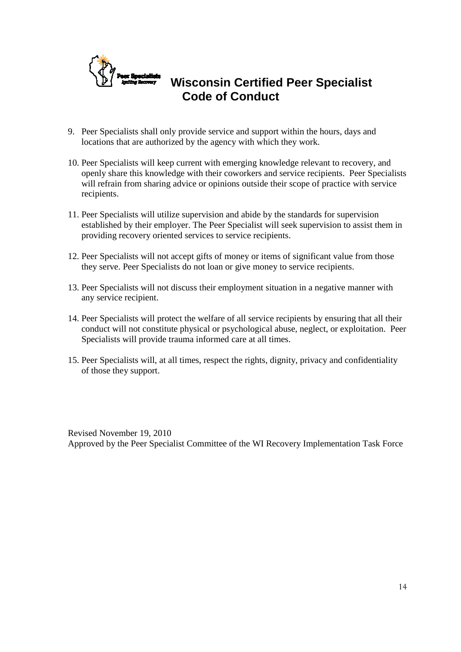

# **Wisconsin Certified Peer Specialist Code of Conduct**

- 9. Peer Specialists shall only provide service and support within the hours, days and locations that are authorized by the agency with which they work.
- 10. Peer Specialists will keep current with emerging knowledge relevant to recovery, and openly share this knowledge with their coworkers and service recipients. Peer Specialists will refrain from sharing advice or opinions outside their scope of practice with service recipients.
- 11. Peer Specialists will utilize supervision and abide by the standards for supervision established by their employer. The Peer Specialist will seek supervision to assist them in providing recovery oriented services to service recipients.
- 12. Peer Specialists will not accept gifts of money or items of significant value from those they serve. Peer Specialists do not loan or give money to service recipients.
- 13. Peer Specialists will not discuss their employment situation in a negative manner with any service recipient.
- 14. Peer Specialists will protect the welfare of all service recipients by ensuring that all their conduct will not constitute physical or psychological abuse, neglect, or exploitation. Peer Specialists will provide trauma informed care at all times.
- 15. Peer Specialists will, at all times, respect the rights, dignity, privacy and confidentiality of those they support.

Revised November 19, 2010 Approved by the Peer Specialist Committee of the WI Recovery Implementation Task Force